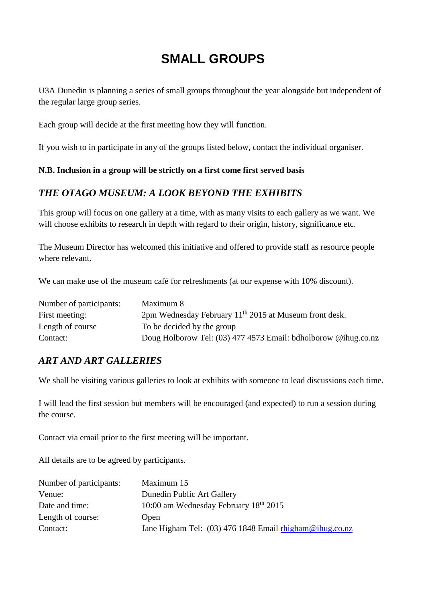# **SMALL GROUPS**

U3A Dunedin is planning a series of small groups throughout the year alongside but independent of the regular large group series.

Each group will decide at the first meeting how they will function.

If you wish to in participate in any of the groups listed below, contact the individual organiser.

#### **N.B. Inclusion in a group will be strictly on a first come first served basis**

### *THE OTAGO MUSEUM: A LOOK BEYOND THE EXHIBITS*

This group will focus on one gallery at a time, with as many visits to each gallery as we want. We will choose exhibits to research in depth with regard to their origin, history, significance etc.

The Museum Director has welcomed this initiative and offered to provide staff as resource people where relevant.

We can make use of the museum café for refreshments (at our expense with 10% discount).

| Number of participants: | Maximum 8                                                          |
|-------------------------|--------------------------------------------------------------------|
| First meeting:          | 2pm Wednesday February 11 <sup>th</sup> 2015 at Museum front desk. |
| Length of course        | To be decided by the group                                         |
| Contact:                | Doug Holborow Tel: (03) 477 4573 Email: bdholborow @ihug.co.nz     |

#### *ART AND ART GALLERIES*

We shall be visiting various galleries to look at exhibits with some ne to lead discussions each time.

I will lead the first session but members will be encouraged (and expected) to run a session during the course.

Contact via email prior to the first meeting will be important.

All details are to be agreed by participants.

| Number of participants: | Maximum 15                                              |
|-------------------------|---------------------------------------------------------|
| Venue:                  | Dunedin Public Art Gallery                              |
| Date and time:          | 10:00 am Wednesday February 18 <sup>th</sup> 2015       |
| Length of course:       | Open                                                    |
| Contact:                | Jane Higham Tel: (03) 476 1848 Email rhigham@ihug.co.nz |